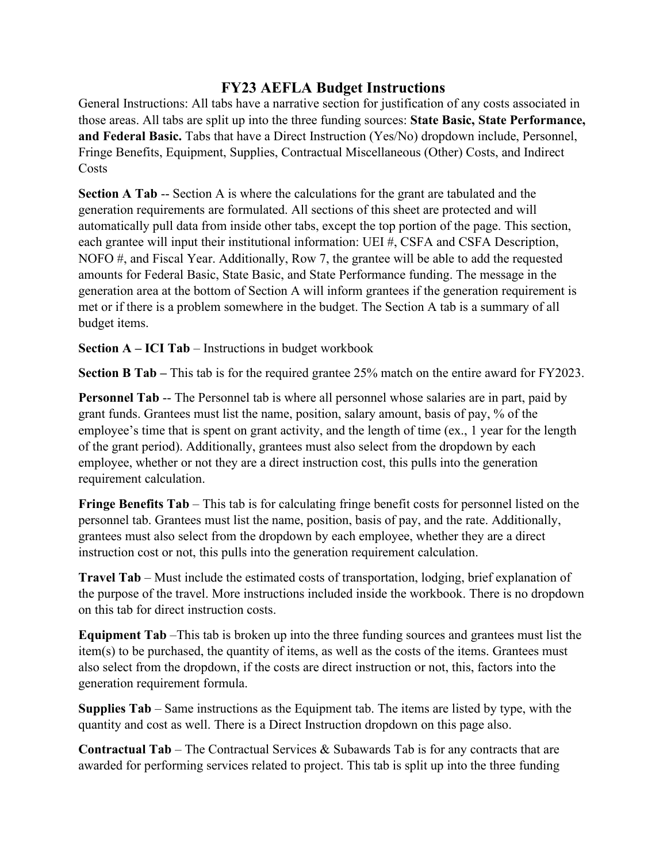## **FY23 AEFLA Budget Instructions**

General Instructions: All tabs have a narrative section for justification of any costs associated in those areas. All tabs are split up into the three funding sources: **State Basic, State Performance, and Federal Basic.** Tabs that have a Direct Instruction (Yes/No) dropdown include, Personnel, Fringe Benefits, Equipment, Supplies, Contractual Miscellaneous (Other) Costs, and Indirect Costs

**Section A Tab** -- Section A is where the calculations for the grant are tabulated and the generation requirements are formulated. All sections of this sheet are protected and will automatically pull data from inside other tabs, except the top portion of the page. This section, each grantee will input their institutional information: UEI #, CSFA and CSFA Description, NOFO #, and Fiscal Year. Additionally, Row 7, the grantee will be able to add the requested amounts for Federal Basic, State Basic, and State Performance funding. The message in the generation area at the bottom of Section A will inform grantees if the generation requirement is met or if there is a problem somewhere in the budget. The Section A tab is a summary of all budget items.

**Section A – ICI Tab** – Instructions in budget workbook

**Section B Tab –** This tab is for the required grantee 25% match on the entire award for FY2023.

**Personnel Tab** -- The Personnel tab is where all personnel whose salaries are in part, paid by grant funds. Grantees must list the name, position, salary amount, basis of pay, % of the employee's time that is spent on grant activity, and the length of time (ex., 1 year for the length of the grant period). Additionally, grantees must also select from the dropdown by each employee, whether or not they are a direct instruction cost, this pulls into the generation requirement calculation.

**Fringe Benefits Tab** – This tab is for calculating fringe benefit costs for personnel listed on the personnel tab. Grantees must list the name, position, basis of pay, and the rate. Additionally, grantees must also select from the dropdown by each employee, whether they are a direct instruction cost or not, this pulls into the generation requirement calculation.

**Travel Tab** – Must include the estimated costs of transportation, lodging, brief explanation of the purpose of the travel. More instructions included inside the workbook. There is no dropdown on this tab for direct instruction costs.

**Equipment Tab** –This tab is broken up into the three funding sources and grantees must list the item(s) to be purchased, the quantity of items, as well as the costs of the items. Grantees must also select from the dropdown, if the costs are direct instruction or not, this, factors into the generation requirement formula.

**Supplies Tab** – Same instructions as the Equipment tab. The items are listed by type, with the quantity and cost as well. There is a Direct Instruction dropdown on this page also.

**Contractual Tab** – The Contractual Services & Subawards Tab is for any contracts that are awarded for performing services related to project. This tab is split up into the three funding